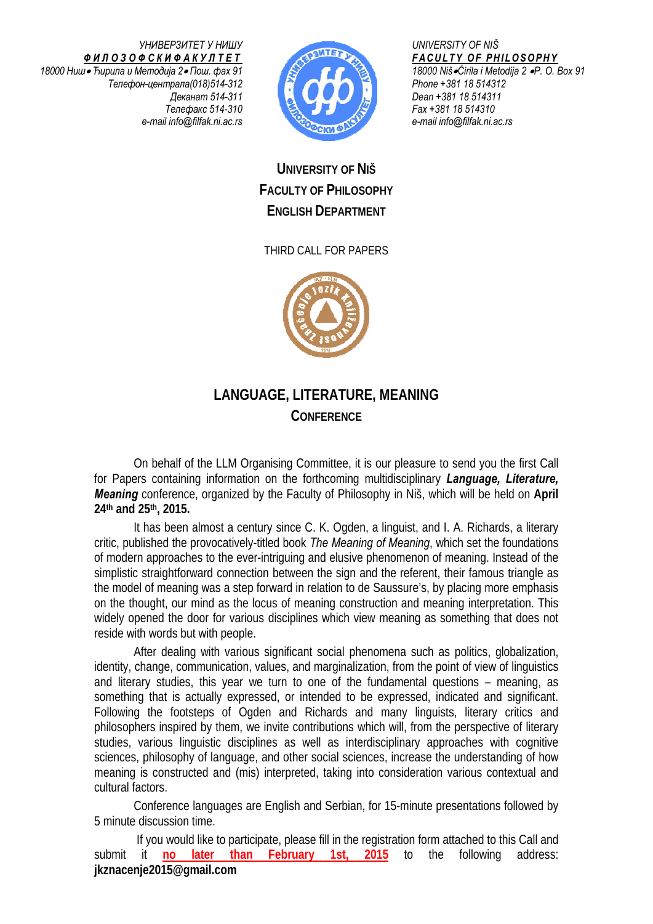*УНИВЕРЗИТЕТ У НИШУ ФИЛОЗОФСКИФАКУЛТЕТ 18000 Ниш*• *Ћирила и Методија 2*• *Пош. фах 91 Телефон-централа(018)514-312 Деканат 514-311 Телефакс 514-310 e-mail info@filfak.ni.ac.rs*



*UNIVERSITY OF NIŠ FACULTY OF PHILOSOPHY 18000 Niš*•*Ćirila i Metodija 2* •*P. O. Box 91 Phone +381 18 514312 Dean +381 18 514311 Fax +381 18 514310 e-mail info@filfak.ni.ac.rs* 

## **UNIVERSITY OF NIŠ FACULTY OF PHILOSOPHY ENGLISH DEPARTMENT**

## THIRD CALL FOR PAPERS



## **LANGUAGE, LITERATURE, MEANING CONFERENCE**

On behalf of the LLM Organising Committee, it is our pleasure to send you the first Call for Papers containing information on the forthcoming multidisciplinary *Language, Literature, Meaning* conference, organized by the Faculty of Philosophy in Niš, which will be held on **April 24th and 25th, 2015.**

It has been almost a century since C. K. Ogden, a linguist, and I. A. Richards, a literary critic, published the provocatively-titled book *The Meaning of Meaning*, which set the foundations of modern approaches to the ever-intriguing and elusive phenomenon of meaning. Instead of the simplistic straightforward connection between the sign and the referent, their famous triangle as the model of meaning was a step forward in relation to de Saussure's, by placing more emphasis on the thought, our mind as the locus of meaning construction and meaning interpretation. This widely opened the door for various disciplines which view meaning as something that does not reside with words but with people.

After dealing with various significant social phenomena such as politics, globalization, identity, change, communication, values, and marginalization, from the point of view of linguistics and literary studies, this year we turn to one of the fundamental questions – meaning, as something that is actually expressed, or intended to be expressed, indicated and significant. Following the footsteps of Ogden and Richards and many linguists, literary critics and philosophers inspired by them, we invite contributions which will, from the perspective of literary studies, various linguistic disciplines as well as interdisciplinary approaches with cognitive sciences, philosophy of language, and other social sciences, increase the understanding of how meaning is constructed and (mis) interpreted, taking into consideration various contextual and cultural factors.

Conference languages are English and Serbian, for 15-minute presentations followed by 5 minute discussion time.

 If you would like to participate, please fill in the registration form attached to this Call and submit it **no later than February 1st, 2015** to the following address: **jkznacenje2015@gmail.com**